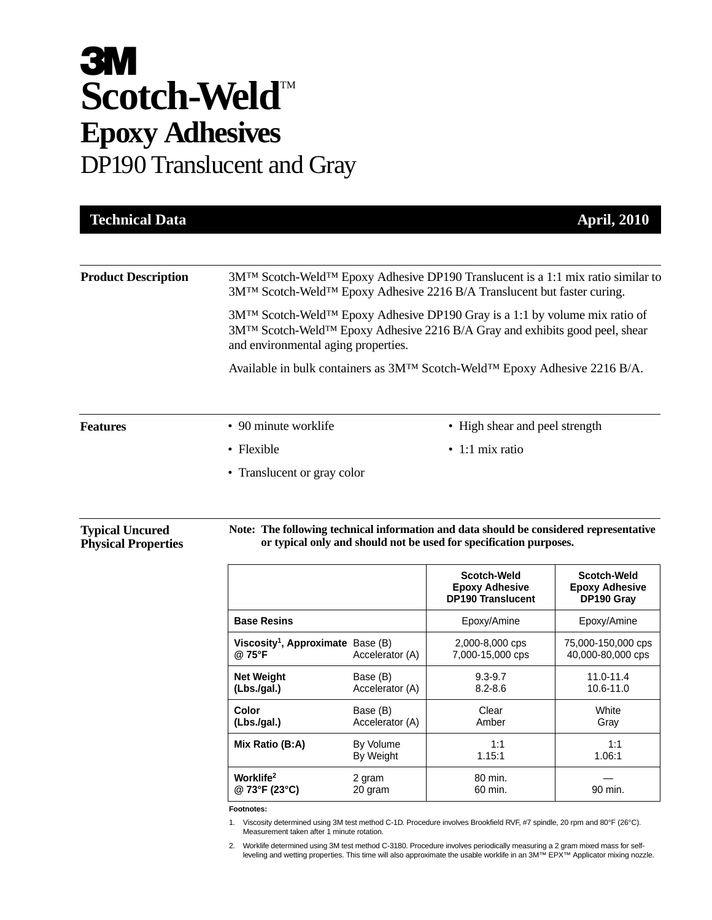# **3M Scotch-Weld™ Epoxy Adhesives** DP190 Translucent and Gray

| <b>Technical Data</b>                                |                                                                                                                                                                                                                                                      |                             |                                                                                                                                                              | <b>April, 2010</b>                                 |
|------------------------------------------------------|------------------------------------------------------------------------------------------------------------------------------------------------------------------------------------------------------------------------------------------------------|-----------------------------|--------------------------------------------------------------------------------------------------------------------------------------------------------------|----------------------------------------------------|
| <b>Product Description</b>                           |                                                                                                                                                                                                                                                      |                             | 3M <sup>TM</sup> Scotch-Weld <sup>TM</sup> Epoxy Adhesive DP190 Translucent is a 1:1 mix ratio similar to                                                    |                                                    |
|                                                      | 3M™ Scotch-Weld™ Epoxy Adhesive 2216 B/A Translucent but faster curing.                                                                                                                                                                              |                             |                                                                                                                                                              |                                                    |
|                                                      | 3M <sup>TM</sup> Scotch-Weld <sup>TM</sup> Epoxy Adhesive DP190 Gray is a 1:1 by volume mix ratio of<br>3M <sup>TM</sup> Scotch-Weld <sup>TM</sup> Epoxy Adhesive 2216 B/A Gray and exhibits good peel, shear<br>and environmental aging properties. |                             |                                                                                                                                                              |                                                    |
|                                                      |                                                                                                                                                                                                                                                      |                             | Available in bulk containers as 3M™ Scotch-Weld <sup>™</sup> Epoxy Adhesive 2216 B/A.                                                                        |                                                    |
| <b>Features</b>                                      | • 90 minute worklife                                                                                                                                                                                                                                 |                             | • High shear and peel strength                                                                                                                               |                                                    |
|                                                      | • Flexible                                                                                                                                                                                                                                           |                             | $\bullet$ 1:1 mix ratio                                                                                                                                      |                                                    |
|                                                      | • Translucent or gray color                                                                                                                                                                                                                          |                             |                                                                                                                                                              |                                                    |
| <b>Typical Uncured</b><br><b>Physical Properties</b> |                                                                                                                                                                                                                                                      |                             | Note: The following technical information and data should be considered representative<br>or typical only and should not be used for specification purposes. |                                                    |
|                                                      |                                                                                                                                                                                                                                                      |                             | Scotch-Weld<br><b>Epoxy Adhesive</b><br><b>DP190 Translucent</b>                                                                                             | Scotch-Weld<br><b>Epoxy Adhesive</b><br>DP190 Gray |
|                                                      | <b>Base Resins</b>                                                                                                                                                                                                                                   |                             | Epoxy/Amine                                                                                                                                                  | Epoxy/Amine                                        |
|                                                      | Viscosity <sup>1</sup> , Approximate Base (B)<br>@ 75°F                                                                                                                                                                                              | Accelerator (A)             | 2,000-8,000 cps<br>7,000-15,000 cps                                                                                                                          | 75,000-150,000 cps<br>40,000-80,000 cps            |
|                                                      | <b>Net Weight</b><br>(Lbs./gal.)                                                                                                                                                                                                                     | Base (B)<br>Accelerator (A) | $9.3 - 9.7$<br>$8.2 - 8.6$                                                                                                                                   | 11.0-11.4<br>10.6-11.0                             |

@ 73°F (23°C)

**Footnotes:**

| 1. Viscosity determined using 3M test method C-1D. Procedure involves Brookfield RVF, #7 spindle, 20 rpm and 80°F (26°C).<br>Measurement taken after 1 minute rotation. |
|-------------------------------------------------------------------------------------------------------------------------------------------------------------------------|
| Worklife determined using 3M test method C-3180. Procedure involves periodically measuring a 2 gram mixed mass for self                                                 |

**Color Base (B)** Clear **Clear** Mhite (Lbs./gal.) **Accelerator (A) Amber** Amber Gray

**Mix Ratio (B:A)** By Volume 1:1 1:1 1:1 1:1 1:06:1 **By Velight** 1.15:1 1.06:1 By Weight  $1.15:1$ 

**Worklife<sup>2</sup> 2 gram 80 min.** — **— 2 2** gram 80 min. — 1 **— 20** min. <br> **@ 73°F (23°C)** 20 gram 60 min. 90 min.

2. Worklife determined using 3M test method C-3180. Procedure involves periodically measuring a 2 gram mixed mass for selfleveling and wetting properties. This time will also approximate the usable worklife in an 3M™ EPX™ Applicator mixing nozzle.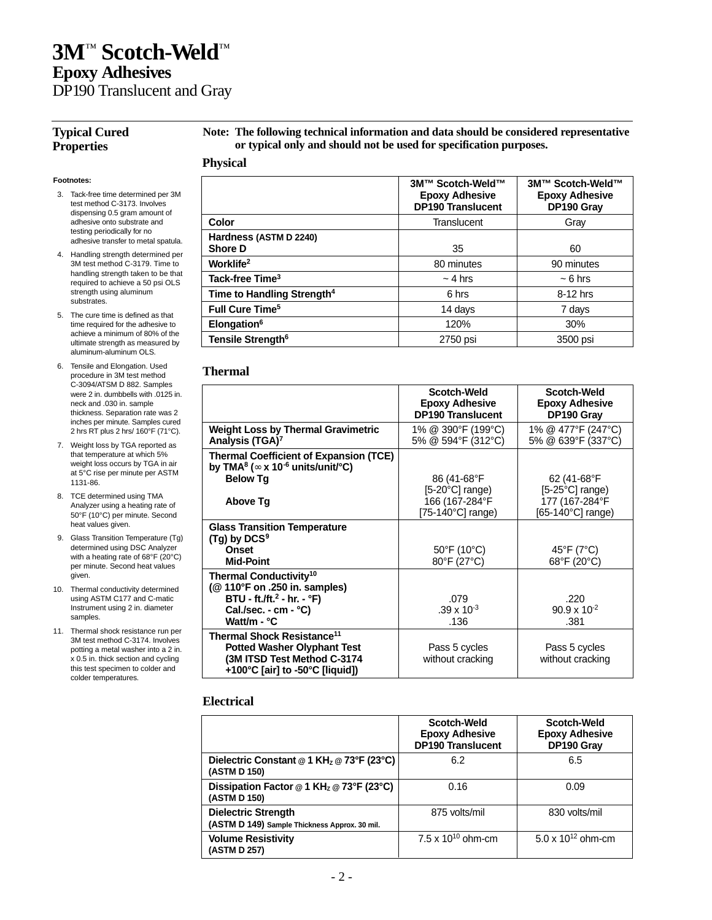## **3M**™ **Scotch-Weld**™ **Epoxy Adhesives**

DP190 Translucent and Gray

#### **Typical Cured Properties**

**Note: The following technical information and data should be considered representative or typical only and should not be used for specification purposes.**

**Footnotes:**

- 3. Tack-free time determined per 3M test method C-3173. Involves dispensing 0.5 gram amount of adhesive onto substrate and testing periodically for no adhesive transfer to metal spatula.
- 4. Handling strength determined per 3M test method C-3179. Time to handling strength taken to be that required to achieve a 50 psi OLS strength using aluminum substrates.
- 5. The cure time is defined as that time required for the adhesive to achieve a minimum of 80% of the ultimate strength as measured by aluminum-aluminum OLS.
- 6. Tensile and Elongation. Used procedure in 3M test method C-3094/ATSM D 882. Samples were 2 in. dumbbells with .0125 in. neck and .030 in. sample thickness. Separation rate was 2 inches per minute. Samples cured 2 hrs RT plus 2 hrs/ 160°F (71°C).
- 7. Weight loss by TGA reported as that temperature at which 5% weight loss occurs by TGA in air at 5°C rise per minute per ASTM 1131-86.
- 8. TCE determined using TMA Analyzer using a heating rate of 50°F (10°C) per minute. Second heat values given.
- 9. Glass Transition Temperature (Tg) determined using DSC Analyzer with a heating rate of 68°F (20°C) per minute. Second heat values given.
- 10. Thermal conductivity determined using ASTM C177 and C-matic Instrument using 2 in. diameter samples.
- 11. Thermal shock resistance run per 3M test method C-3174. Involves potting a metal washer into a 2 in. x 0.5 in. thick section and cycling this test specimen to colder and colder temperatures.

|                                        | 3M™ Scotch-Weld™<br><b>Epoxy Adhesive</b><br><b>DP190 Translucent</b> | 3M™ Scotch-Weld™<br><b>Epoxy Adhesive</b><br>DP190 Gray |
|----------------------------------------|-----------------------------------------------------------------------|---------------------------------------------------------|
| Color                                  | Translucent                                                           | Grav                                                    |
| Hardness (ASTM D 2240)<br>Shore D      | 35                                                                    | 60                                                      |
| Worklife <sup>2</sup>                  | 80 minutes                                                            | 90 minutes                                              |
| Tack-free Time <sup>3</sup>            | $\sim$ 4 hrs                                                          | $\sim$ 6 hrs                                            |
| Time to Handling Strength <sup>4</sup> | 6 hrs                                                                 | 8-12 hrs                                                |
| <b>Full Cure Time<sup>5</sup></b>      | 14 days                                                               | 7 days                                                  |
| Elongation <sup>6</sup>                | 120%                                                                  | 30%                                                     |
| Tensile Strength <sup>6</sup>          | 2750 psi                                                              | 3500 psi                                                |

#### **Thermal**

**Physical**

|                                                                                                                                                | Scotch-Weld<br><b>Epoxy Adhesive</b><br><b>DP190 Translucent</b>                            | Scotch-Weld<br><b>Epoxy Adhesive</b><br>DP190 Gray                             |
|------------------------------------------------------------------------------------------------------------------------------------------------|---------------------------------------------------------------------------------------------|--------------------------------------------------------------------------------|
| <b>Weight Loss by Thermal Gravimetric</b><br>Analysis (TGA) <sup>7</sup>                                                                       | 1% @ 390°F (199°C)<br>5% @ 594°F (312°C)                                                    | 1% @ 477°F (247°C)<br>5% @ 639°F (337°C)                                       |
| <b>Thermal Coefficient of Expansion (TCE)</b><br>by TMA <sup>8</sup> ( $\infty$ x 10 <sup>-6</sup> units/unit/°C)                              |                                                                                             |                                                                                |
| <b>Below Tg</b><br>Above Tg                                                                                                                    | 86 (41-68°F<br>[5-20 $^{\circ}$ C] range)<br>166 (167-284°F<br>[75-140 $^{\circ}$ C] range) | 62 (41-68°F<br>$[5-25^{\circ}C]$ range)<br>177 (167-284°F<br>[65-140°C] range) |
| <b>Glass Transition Temperature</b><br>$(Tg)$ by DCS <sup>9</sup><br>Onset<br>Mid-Point                                                        | $50^{\circ}$ F (10 $^{\circ}$ C)<br>80°F (27°C)                                             | 45°F (7°C)<br>68°F (20°C)                                                      |
| Thermal Conductivity <sup>10</sup><br>(@ 110°F on .250 in. samples)<br>BTU - ft./ft. <sup>2</sup> - hr. - °F)                                  | .079                                                                                        | .220                                                                           |
| Cal./sec. - $cm - °C$ )<br>Watt/m - $^{\circ}$ C                                                                                               | $.39 \times 10^{-3}$<br>.136                                                                | $90.9 \times 10^{-2}$<br>.381                                                  |
| Thermal Shock Resistance <sup>11</sup><br><b>Potted Washer Olyphant Test</b><br>(3M ITSD Test Method C-3174<br>+100°C [air] to -50°C [liquid]) | Pass 5 cycles<br>without cracking                                                           | Pass 5 cycles<br>without cracking                                              |

#### **Electrical**

|                                                                             | Scotch-Weld<br><b>Epoxy Adhesive</b><br><b>DP190 Translucent</b> | Scotch-Weld<br><b>Epoxy Adhesive</b><br>DP190 Gray |
|-----------------------------------------------------------------------------|------------------------------------------------------------------|----------------------------------------------------|
| Dielectric Constant @ 1 KH <sub>z</sub> @ 73°F (23°C)<br>(ASTM D 150)       | 6.2                                                              | 6.5                                                |
| Dissipation Factor @ 1 KH <sub>z</sub> @ 73°F (23°C)<br>(ASTM D 150)        | 0.16                                                             | 0.09                                               |
| <b>Dielectric Strength</b><br>(ASTM D 149) Sample Thickness Approx. 30 mil. | 875 volts/mil                                                    | 830 volts/mil                                      |
| <b>Volume Resistivity</b><br>(ASTM D 257)                                   | $7.5 \times 10^{10}$ ohm-cm                                      | $5.0 \times 10^{12}$ ohm-cm                        |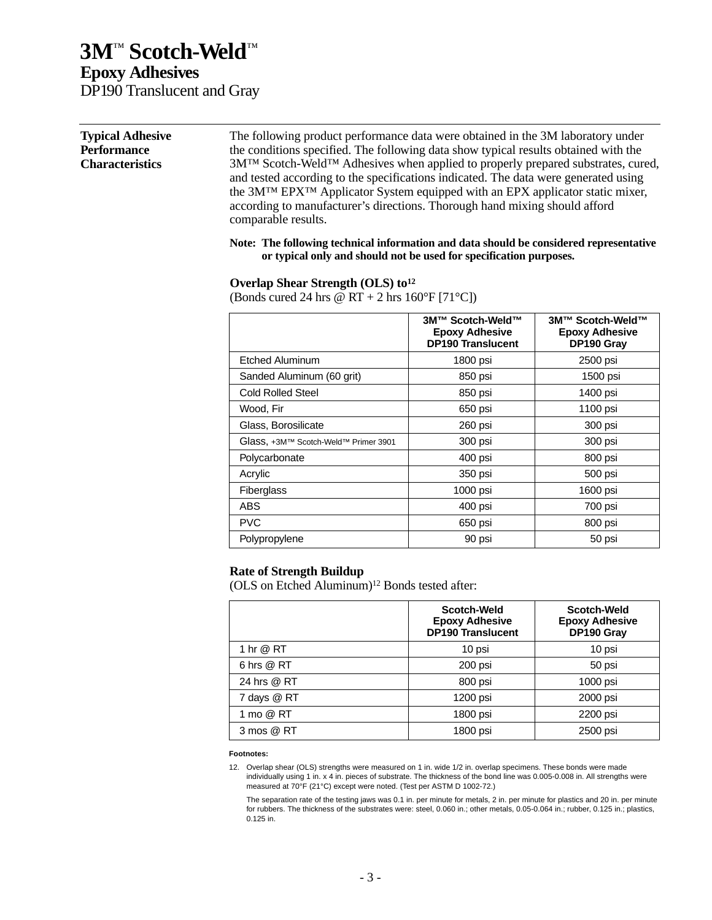## **3M**™ **Scotch-Weld**™ **Epoxy Adhesives**

DP190 Translucent and Gray

| <b>Typical Adhesive</b><br><b>Performance</b> | The following product performance data were obtained in the 3M laboratory under<br>the conditions specified. The following data show typical results obtained with the |
|-----------------------------------------------|------------------------------------------------------------------------------------------------------------------------------------------------------------------------|
| <b>Characteristics</b>                        | 3M <sup>TM</sup> Scotch-Weld <sup>TM</sup> Adhesives when applied to properly prepared substrates, cured,                                                              |
|                                               | and tested according to the specifications indicated. The data were generated using                                                                                    |
|                                               | the 3M <sup>TM</sup> EPX <sup>TM</sup> Applicator System equipped with an EPX applicator static mixer,                                                                 |
|                                               | according to manufacturer's directions. Thorough hand mixing should afford                                                                                             |

**Note: The following technical information and data should be considered representative or typical only and should not be used for specification purposes.**

|                                      | 3M™ Scotch-Weld™<br><b>Epoxy Adhesive</b><br><b>DP190 Translucent</b> | 3M™ Scotch-Weld™<br><b>Epoxy Adhesive</b><br>DP190 Gray |
|--------------------------------------|-----------------------------------------------------------------------|---------------------------------------------------------|
| <b>Etched Aluminum</b>               | 1800 psi                                                              | 2500 psi                                                |
| Sanded Aluminum (60 grit)            | 850 psi                                                               | 1500 psi                                                |
| <b>Cold Rolled Steel</b>             | 850 psi                                                               | 1400 psi                                                |
| Wood, Fir                            | 650 psi                                                               | 1100 psi                                                |
| Glass, Borosilicate                  | 260 psi                                                               | 300 psi                                                 |
| Glass, +3M™ Scotch-Weld™ Primer 3901 | 300 psi                                                               | 300 psi                                                 |
| Polycarbonate                        | 400 psi                                                               | 800 psi                                                 |
| Acrylic                              | 350 psi                                                               | 500 psi                                                 |
| Fiberglass                           | 1000 psi                                                              | 1600 psi                                                |
| <b>ABS</b>                           | 400 psi                                                               | 700 psi                                                 |
| <b>PVC</b>                           | 650 psi                                                               | 800 psi                                                 |
| Polypropylene                        | 90 psi                                                                | 50 psi                                                  |

#### **Overlap Shear Strength (OLS) to<sup>12</sup>**

comparable results.

(Bonds cured 24 hrs  $\omega$  RT + 2 hrs 160°F [71°C])

#### **Rate of Strength Buildup**

(OLS on Etched Aluminum)<sup>12</sup> Bonds tested after:

|             | Scotch-Weld<br><b>Epoxy Adhesive</b><br><b>DP190 Translucent</b> | Scotch-Weld<br><b>Epoxy Adhesive</b><br>DP190 Gray |
|-------------|------------------------------------------------------------------|----------------------------------------------------|
| 1 hr @ RT   | 10 psi                                                           | 10 psi                                             |
| 6 hrs @ RT  | 200 psi                                                          | 50 psi                                             |
| 24 hrs @ RT | 800 psi                                                          | 1000 psi                                           |
| 7 days @ RT | 1200 psi                                                         | 2000 psi                                           |
| 1 mo @ RT   | 1800 psi                                                         | 2200 psi                                           |
| 3 mos @ RT  | 1800 psi                                                         | 2500 psi                                           |

#### **Footnotes:**

12. Overlap shear (OLS) strengths were measured on 1 in. wide 1/2 in. overlap specimens. These bonds were made individually using 1 in. x 4 in. pieces of substrate. The thickness of the bond line was 0.005-0.008 in. All strengths were measured at 70°F (21°C) except were noted. (Test per ASTM D 1002-72.)

The separation rate of the testing jaws was 0.1 in. per minute for metals, 2 in. per minute for plastics and 20 in. per minute for rubbers. The thickness of the substrates were: steel, 0.060 in.; other metals, 0.05-0.064 in.; rubber, 0.125 in.; plastics, 0.125 in.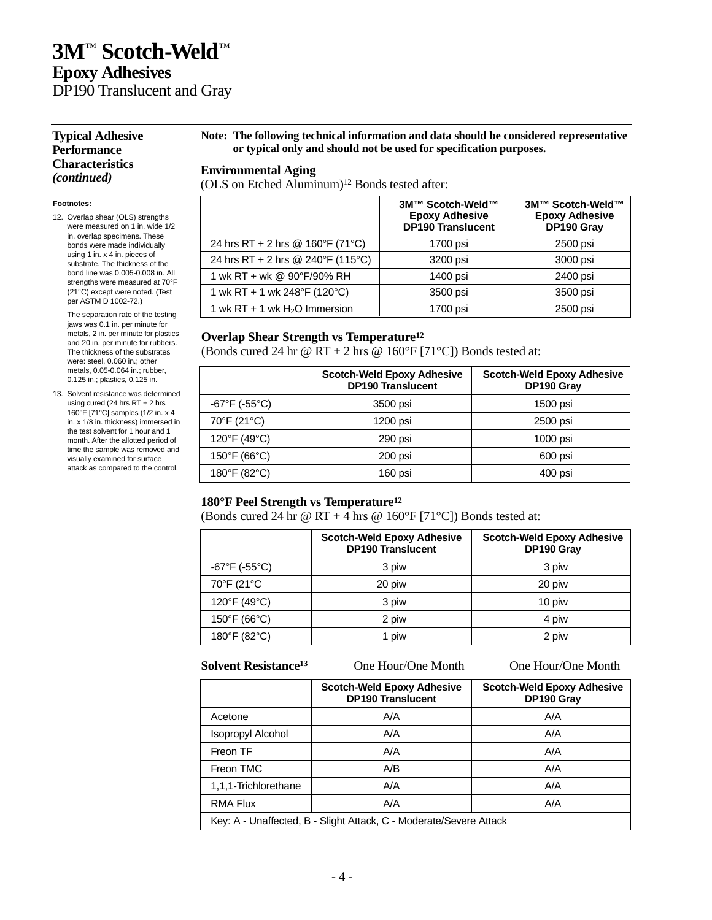### **3M**™ **Scotch-Weld**™ **Epoxy Adhesives**

DP190 Translucent and Gray

#### **Typical Adhesive Performance Characteristics** *(continued)*

#### **Footnotes:**

12. Overlap shear (OLS) strengths were measured on 1 in. wide 1/2 in. overlap specimens. These bonds were made individually using 1 in. x 4 in. pieces of substrate. The thickness of the bond line was 0.005-0.008 in. All strengths were measured at 70°F (21°C) except were noted. (Test per ASTM D 1002-72.)

The separation rate of the testing jaws was 0.1 in. per minute for metals, 2 in. per minute for plastics and 20 in. per minute for rubbers. The thickness of the substrates were: steel, 0.060 in.; other metals, 0.05-0.064 in.; rubber, 0.125 in.; plastics, 0.125 in.

13. Solvent resistance was determined using cured (24 hrs RT + 2 hrs 160°F [71°C] samples (1/2 in. x 4 in. x 1/8 in. thickness) immersed in the test solvent for 1 hour and 1 month. After the allotted period of time the sample was removed and visually examined for surface attack as compared to the control.

#### **Note: The following technical information and data should be considered representative or typical only and should not be used for specification purposes.**

#### **Environmental Aging**

(OLS on Etched Aluminum)<sup>12</sup> Bonds tested after:

|                                   | 3M™ Scotch-Weld™<br><b>Epoxy Adhesive</b><br><b>DP190 Translucent</b> | 3M™ Scotch-Weld™<br><b>Epoxy Adhesive</b><br>DP190 Gray |
|-----------------------------------|-----------------------------------------------------------------------|---------------------------------------------------------|
| 24 hrs RT + 2 hrs @ 160°F (71°C)  | 1700 psi                                                              | 2500 psi                                                |
| 24 hrs RT + 2 hrs @ 240°F (115°C) | 3200 psi                                                              | 3000 psi                                                |
| 1 wk RT + wk @ 90°F/90% RH        | 1400 psi                                                              | 2400 psi                                                |
| 1 wk RT + 1 wk 248°F (120°C)      | 3500 psi                                                              | 3500 psi                                                |
| 1 wk RT + 1 wk $H_2O$ Immersion   | 1700 psi                                                              | 2500 psi                                                |

#### **Overlap Shear Strength vs Temperature12**

(Bonds cured 24 hr @ RT + 2 hrs @ 160°F [71°C]) Bonds tested at:

|               | <b>Scotch-Weld Epoxy Adhesive</b><br><b>DP190 Translucent</b> | <b>Scotch-Weld Epoxy Adhesive</b><br>DP190 Gray |
|---------------|---------------------------------------------------------------|-------------------------------------------------|
| -67°F (-55°C) | 3500 psi                                                      | 1500 psi                                        |
| 70°F (21°C)   | 1200 psi                                                      | 2500 psi                                        |
| 120°F (49°C)  | 290 psi                                                       | 1000 psi                                        |
| 150°F (66°C)  | 200 psi                                                       | 600 psi                                         |
| 180°F (82°C)  | 160 psi                                                       | 400 psi                                         |

#### **180°F Peel Strength vs Temperature12**

(Bonds cured 24 hr  $\omega$  RT + 4 hrs  $\omega$  160°F [71°C]) Bonds tested at:

|                                   | <b>Scotch-Weld Epoxy Adhesive</b><br><b>DP190 Translucent</b> | <b>Scotch-Weld Epoxy Adhesive</b><br>DP190 Gray |
|-----------------------------------|---------------------------------------------------------------|-------------------------------------------------|
| -67°F (-55°C)                     | 3 piw                                                         | 3 piw                                           |
| 70°F (21°C                        | 20 piw                                                        | 20 piw                                          |
| 120°F (49°C)                      | 3 piw                                                         | 10 piw                                          |
| $150^{\circ}$ F (66 $^{\circ}$ C) | 2 piw                                                         | 4 piw                                           |
| 180°F (82°C)                      | 1 piw                                                         | 2 piw                                           |

#### **Solvent Resistance13** One Hour/One Month One Hour/One Month

|                                                                    | <b>Scotch-Weld Epoxy Adhesive</b><br><b>DP190 Translucent</b> | <b>Scotch-Weld Epoxy Adhesive</b><br>DP190 Gray |  |
|--------------------------------------------------------------------|---------------------------------------------------------------|-------------------------------------------------|--|
| Acetone                                                            | A/A                                                           | A/A                                             |  |
| <b>Isopropyl Alcohol</b>                                           | A/A                                                           | A/A                                             |  |
| Freon TF                                                           | A/A                                                           | A/A                                             |  |
| Freon TMC                                                          | A/B                                                           | A/A                                             |  |
| 1,1,1-Trichlorethane                                               | A/A                                                           | A/A                                             |  |
| <b>RMA Flux</b>                                                    | A/A                                                           | A/A                                             |  |
| Key: A - Unaffected, B - Slight Attack, C - Moderate/Severe Attack |                                                               |                                                 |  |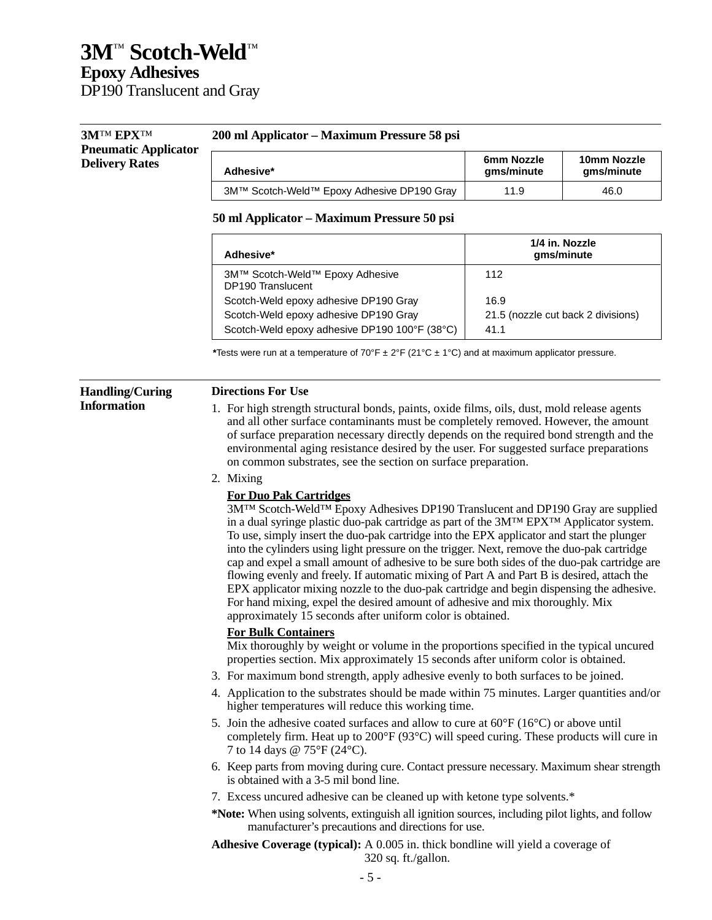| <b>3MTM EPXTM</b><br><b>Pneumatic Applicator</b><br><b>Delivery Rates</b> | 200 ml Applicator – Maximum Pressure 58 psi |                          |                           |
|---------------------------------------------------------------------------|---------------------------------------------|--------------------------|---------------------------|
|                                                                           | Adhesive*                                   | 6mm Nozzle<br>qms/minute | 10mm Nozzle<br>qms/minute |
|                                                                           | 3M™ Scotch-Weld™ Epoxy Adhesive DP190 Gray  | 11.9                     | 46.0                      |

| Adhesive*                                            | 1/4 in. Nozzle<br>qms/minute       |
|------------------------------------------------------|------------------------------------|
| 3M™ Scotch-Weld™ Epoxy Adhesive<br>DP190 Translucent | 112                                |
| Scotch-Weld epoxy adhesive DP190 Gray                | 16.9                               |
| Scotch-Weld epoxy adhesive DP190 Gray                | 21.5 (nozzle cut back 2 divisions) |
| Scotch-Weld epoxy adhesive DP190 100°F (38°C)        | 41.1                               |

**\***Tests were run at a temperature of 70°F ± 2°F (21°C ± 1°C) and at maximum applicator pressure.

| <b>Handling/Curing</b><br><b>Information</b> | <b>Directions For Use</b>                                                                                                                                                                                                                                                                                                                                                                                                                                                                                                                                                                                                                                                                                                                                                                                                                                               |  |  |
|----------------------------------------------|-------------------------------------------------------------------------------------------------------------------------------------------------------------------------------------------------------------------------------------------------------------------------------------------------------------------------------------------------------------------------------------------------------------------------------------------------------------------------------------------------------------------------------------------------------------------------------------------------------------------------------------------------------------------------------------------------------------------------------------------------------------------------------------------------------------------------------------------------------------------------|--|--|
|                                              | 1. For high strength structural bonds, paints, oxide films, oils, dust, mold release agents<br>and all other surface contaminants must be completely removed. However, the amount<br>of surface preparation necessary directly depends on the required bond strength and the<br>environmental aging resistance desired by the user. For suggested surface preparations<br>on common substrates, see the section on surface preparation.                                                                                                                                                                                                                                                                                                                                                                                                                                 |  |  |
|                                              | 2. Mixing                                                                                                                                                                                                                                                                                                                                                                                                                                                                                                                                                                                                                                                                                                                                                                                                                                                               |  |  |
|                                              | <b>For Duo Pak Cartridges</b><br>3MTM Scotch-WeldTM Epoxy Adhesives DP190 Translucent and DP190 Gray are supplied<br>in a dual syringe plastic duo-pak cartridge as part of the 3M <sup>TM</sup> EPX <sup>TM</sup> Applicator system.<br>To use, simply insert the duo-pak cartridge into the EPX applicator and start the plunger<br>into the cylinders using light pressure on the trigger. Next, remove the duo-pak cartridge<br>cap and expel a small amount of adhesive to be sure both sides of the duo-pak cartridge are<br>flowing evenly and freely. If automatic mixing of Part A and Part B is desired, attach the<br>EPX applicator mixing nozzle to the duo-pak cartridge and begin dispensing the adhesive.<br>For hand mixing, expel the desired amount of adhesive and mix thoroughly. Mix<br>approximately 15 seconds after uniform color is obtained. |  |  |
|                                              | <b>For Bulk Containers</b><br>Mix thoroughly by weight or volume in the proportions specified in the typical uncured<br>properties section. Mix approximately 15 seconds after uniform color is obtained.                                                                                                                                                                                                                                                                                                                                                                                                                                                                                                                                                                                                                                                               |  |  |
|                                              | 3. For maximum bond strength, apply adhesive evenly to both surfaces to be joined.                                                                                                                                                                                                                                                                                                                                                                                                                                                                                                                                                                                                                                                                                                                                                                                      |  |  |
|                                              | 4. Application to the substrates should be made within 75 minutes. Larger quantities and/or<br>higher temperatures will reduce this working time.                                                                                                                                                                                                                                                                                                                                                                                                                                                                                                                                                                                                                                                                                                                       |  |  |
|                                              | 5. Join the adhesive coated surfaces and allow to cure at $60^{\circ}F(16^{\circ}C)$ or above until<br>completely firm. Heat up to 200°F (93°C) will speed curing. These products will cure in<br>7 to 14 days @ 75°F (24°C).                                                                                                                                                                                                                                                                                                                                                                                                                                                                                                                                                                                                                                           |  |  |
|                                              | 6. Keep parts from moving during cure. Contact pressure necessary. Maximum shear strength<br>is obtained with a 3-5 mil bond line.                                                                                                                                                                                                                                                                                                                                                                                                                                                                                                                                                                                                                                                                                                                                      |  |  |
|                                              | 7. Excess uncured adhesive can be cleaned up with ketone type solvents.*                                                                                                                                                                                                                                                                                                                                                                                                                                                                                                                                                                                                                                                                                                                                                                                                |  |  |
|                                              | *Note: When using solvents, extinguish all ignition sources, including pilot lights, and follow<br>manufacturer's precautions and directions for use.                                                                                                                                                                                                                                                                                                                                                                                                                                                                                                                                                                                                                                                                                                                   |  |  |
|                                              | Adhesive Coverage (typical): A 0.005 in. thick bondline will yield a coverage of<br>$320$ sq. ft./gallon.                                                                                                                                                                                                                                                                                                                                                                                                                                                                                                                                                                                                                                                                                                                                                               |  |  |
|                                              | $-5-$                                                                                                                                                                                                                                                                                                                                                                                                                                                                                                                                                                                                                                                                                                                                                                                                                                                                   |  |  |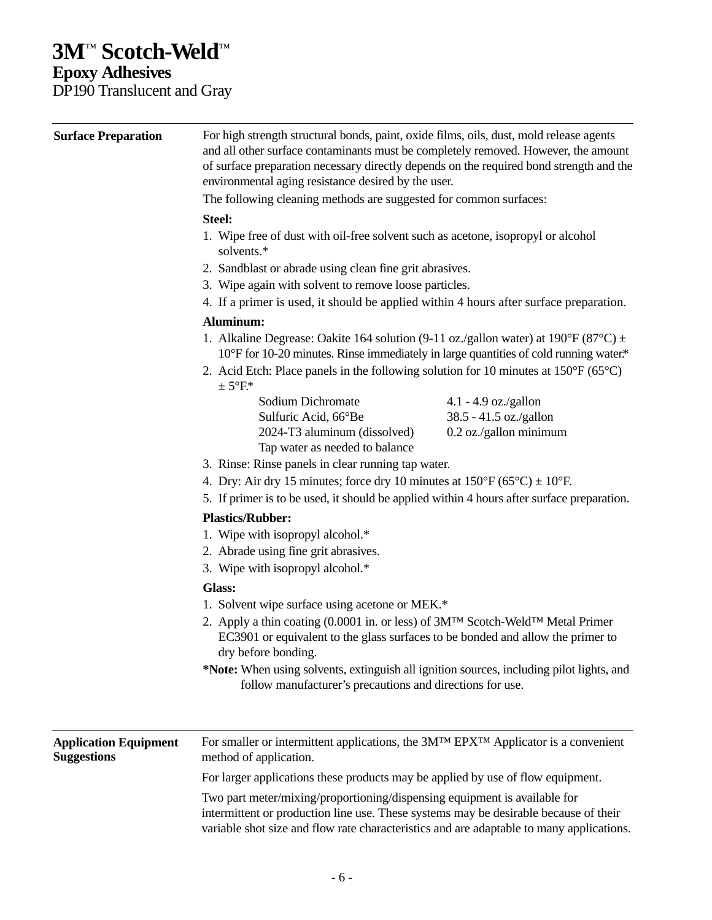## **3M**™ **Scotch-Weld**™

### **Epoxy Adhesives**

DP190 Translucent and Gray

| <b>Surface Preparation</b>                                                                                                                                                                                                                                                                                                                                                                                                                                                                                                          | For high strength structural bonds, paint, oxide films, oils, dust, mold release agents<br>and all other surface contaminants must be completely removed. However, the amount<br>of surface preparation necessary directly depends on the required bond strength and the<br>environmental aging resistance desired by the user.<br>The following cleaning methods are suggested for common surfaces: |                         |                                                    |                                                                                                                                                                                                                                                               |                                                                                                                                                                                                                                                                                                     |                                                                                                                                                                                                                                                        |  |
|-------------------------------------------------------------------------------------------------------------------------------------------------------------------------------------------------------------------------------------------------------------------------------------------------------------------------------------------------------------------------------------------------------------------------------------------------------------------------------------------------------------------------------------|------------------------------------------------------------------------------------------------------------------------------------------------------------------------------------------------------------------------------------------------------------------------------------------------------------------------------------------------------------------------------------------------------|-------------------------|----------------------------------------------------|---------------------------------------------------------------------------------------------------------------------------------------------------------------------------------------------------------------------------------------------------------------|-----------------------------------------------------------------------------------------------------------------------------------------------------------------------------------------------------------------------------------------------------------------------------------------------------|--------------------------------------------------------------------------------------------------------------------------------------------------------------------------------------------------------------------------------------------------------|--|
|                                                                                                                                                                                                                                                                                                                                                                                                                                                                                                                                     | Steel:<br>1. Wipe free of dust with oil-free solvent such as acetone, isopropyl or alcohol<br>solvents.*<br>2. Sandblast or abrade using clean fine grit abrasives.<br>3. Wipe again with solvent to remove loose particles.<br>4. If a primer is used, it should be applied within 4 hours after surface preparation.<br>Aluminum:                                                                  |                         |                                                    |                                                                                                                                                                                                                                                               |                                                                                                                                                                                                                                                                                                     |                                                                                                                                                                                                                                                        |  |
|                                                                                                                                                                                                                                                                                                                                                                                                                                                                                                                                     |                                                                                                                                                                                                                                                                                                                                                                                                      |                         |                                                    |                                                                                                                                                                                                                                                               | 1. Alkaline Degrease: Oakite 164 solution (9-11 oz./gallon water) at $190^{\circ}F(87^{\circ}C) \pm$<br>10°F for 10-20 minutes. Rinse immediately in large quantities of cold running water.*<br>2. Acid Etch: Place panels in the following solution for 10 minutes at $150^{\circ}F(65^{\circ}C)$ |                                                                                                                                                                                                                                                        |  |
|                                                                                                                                                                                                                                                                                                                                                                                                                                                                                                                                     |                                                                                                                                                                                                                                                                                                                                                                                                      |                         |                                                    |                                                                                                                                                                                                                                                               | $± 5^{\circ}F$ .*<br>Sodium Dichromate                                                                                                                                                                                                                                                              | $4.1 - 4.9$ oz./gallon                                                                                                                                                                                                                                 |  |
|                                                                                                                                                                                                                                                                                                                                                                                                                                                                                                                                     |                                                                                                                                                                                                                                                                                                                                                                                                      |                         |                                                    |                                                                                                                                                                                                                                                               | Sulfuric Acid, 66°Be<br>2024-T3 aluminum (dissolved)<br>Tap water as needed to balance                                                                                                                                                                                                              | 38.5 - 41.5 oz./gallon<br>0.2 oz./gallon minimum                                                                                                                                                                                                       |  |
|                                                                                                                                                                                                                                                                                                                                                                                                                                                                                                                                     |                                                                                                                                                                                                                                                                                                                                                                                                      |                         |                                                    |                                                                                                                                                                                                                                                               |                                                                                                                                                                                                                                                                                                     | 3. Rinse: Rinse panels in clear running tap water.<br>4. Dry: Air dry 15 minutes; force dry 10 minutes at $150^{\circ}F (65^{\circ}C) \pm 10^{\circ}F$ .<br>5. If primer is to be used, it should be applied within 4 hours after surface preparation. |  |
|                                                                                                                                                                                                                                                                                                                                                                                                                                                                                                                                     |                                                                                                                                                                                                                                                                                                                                                                                                      |                         |                                                    |                                                                                                                                                                                                                                                               |                                                                                                                                                                                                                                                                                                     |                                                                                                                                                                                                                                                        |  |
|                                                                                                                                                                                                                                                                                                                                                                                                                                                                                                                                     |                                                                                                                                                                                                                                                                                                                                                                                                      |                         |                                                    |                                                                                                                                                                                                                                                               |                                                                                                                                                                                                                                                                                                     |                                                                                                                                                                                                                                                        |  |
|                                                                                                                                                                                                                                                                                                                                                                                                                                                                                                                                     |                                                                                                                                                                                                                                                                                                                                                                                                      | <b>Plastics/Rubber:</b> |                                                    |                                                                                                                                                                                                                                                               |                                                                                                                                                                                                                                                                                                     |                                                                                                                                                                                                                                                        |  |
| 1. Wipe with isopropyl alcohol.*<br>2. Abrade using fine grit abrasives.<br>3. Wipe with isopropyl alcohol.*<br><b>Glass:</b><br>1. Solvent wipe surface using acetone or MEK.*<br>2. Apply a thin coating (0.0001 in. or less) of 3M™ Scotch-Weld™ Metal Primer<br>EC3901 or equivalent to the glass surfaces to be bonded and allow the primer to<br>dry before bonding.<br>*Note: When using solvents, extinguish all ignition sources, including pilot lights, and<br>follow manufacturer's precautions and directions for use. |                                                                                                                                                                                                                                                                                                                                                                                                      |                         |                                                    |                                                                                                                                                                                                                                                               |                                                                                                                                                                                                                                                                                                     |                                                                                                                                                                                                                                                        |  |
|                                                                                                                                                                                                                                                                                                                                                                                                                                                                                                                                     |                                                                                                                                                                                                                                                                                                                                                                                                      |                         | <b>Application Equipment</b><br><b>Suggestions</b> | For smaller or intermittent applications, the 3MTM EPXTM Applicator is a convenient<br>method of application.                                                                                                                                                 |                                                                                                                                                                                                                                                                                                     |                                                                                                                                                                                                                                                        |  |
|                                                                                                                                                                                                                                                                                                                                                                                                                                                                                                                                     |                                                                                                                                                                                                                                                                                                                                                                                                      |                         |                                                    | For larger applications these products may be applied by use of flow equipment.                                                                                                                                                                               |                                                                                                                                                                                                                                                                                                     |                                                                                                                                                                                                                                                        |  |
|                                                                                                                                                                                                                                                                                                                                                                                                                                                                                                                                     |                                                                                                                                                                                                                                                                                                                                                                                                      |                         |                                                    | Two part meter/mixing/proportioning/dispensing equipment is available for<br>intermittent or production line use. These systems may be desirable because of their<br>variable shot size and flow rate characteristics and are adaptable to many applications. |                                                                                                                                                                                                                                                                                                     |                                                                                                                                                                                                                                                        |  |